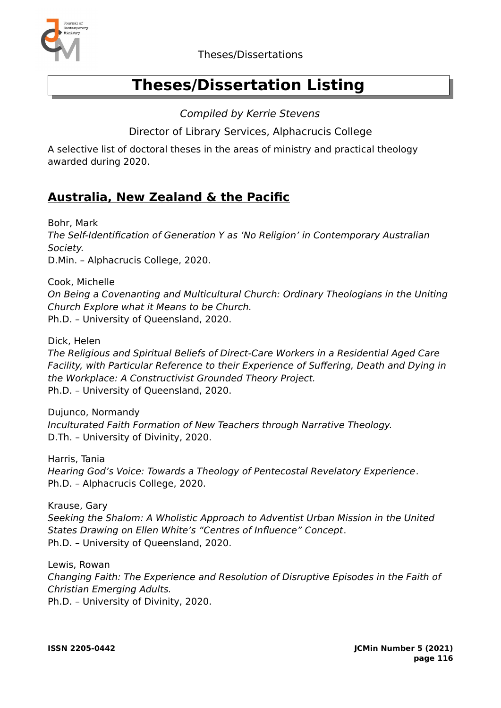

# **Theses/Dissertation Listing**

Compiled by Kerrie Stevens

Director of Library Services, Alphacrucis College

A selective list of doctoral theses in the areas of ministry and practical theology awarded during 2020.

## **Australia, New Zealand & the Pacific**

Bohr, Mark The Self-Identification of Generation Y as 'No Religion' in Contemporary Australian Society. D.Min. – Alphacrucis College, 2020.

Cook, Michelle

On Being a Covenanting and Multicultural Church: Ordinary Theologians in the Uniting Church Explore what it Means to be Church. Ph.D. – University of Queensland, 2020.

Dick, Helen

The Religious and Spiritual Beliefs of Direct-Care Workers in a Residential Aged Care Facility, with Particular Reference to their Experience of Suffering, Death and Dying in the Workplace: A Constructivist Grounded Theory Project. Ph.D. – University of Queensland, 2020.

Dujunco, Normandy Inculturated Faith Formation of New Teachers through Narrative Theology. D.Th. – University of Divinity, 2020.

Harris, Tania Hearing God's Voice: Towards a Theology of Pentecostal Revelatory Experience. Ph.D. – Alphacrucis College, 2020.

Krause, Gary Seeking the Shalom: A Wholistic Approach to Adventist Urban Mission in the United States Drawing on Ellen White's "Centres of Influence" Concept. Ph.D. – University of Queensland, 2020.

Lewis, Rowan Changing Faith: The Experience and Resolution of Disruptive Episodes in the Faith of Christian Emerging Adults. Ph.D. – University of Divinity, 2020.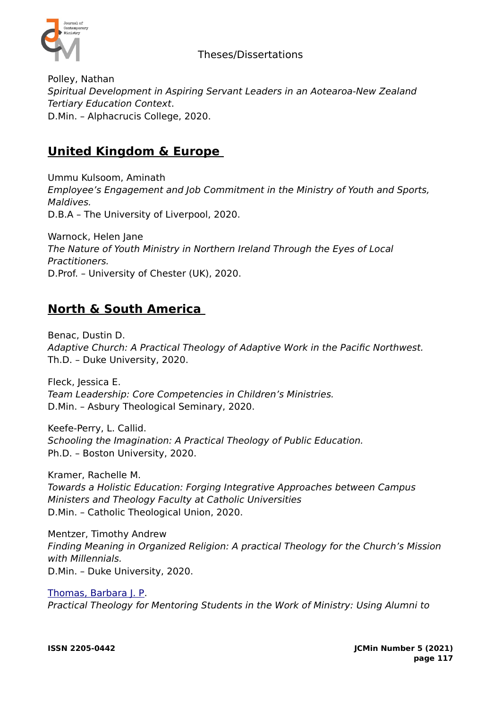

#### Theses/Dissertations

Polley, Nathan Spiritual Development in Aspiring Servant Leaders in an Aotearoa-New Zealand Tertiary Education Context. D.Min. – Alphacrucis College, 2020.

# **United Kingdom & Europe**

Ummu Kulsoom, Aminath Employee's Engagement and Job Commitment in the Ministry of Youth and Sports, Maldives. D.B.A – The University of Liverpool, 2020.

Warnock, Helen Jane The Nature of Youth Ministry in Northern Ireland Through the Eyes of Local Practitioners. D.Prof. – University of Chester (UK), 2020.

## **North & South America**

Benac, Dustin D. Adaptive Church: A Practical Theology of Adaptive Work in the Pacific Northwest. Th.D. – Duke University, 2020.

Fleck, Jessica E. Team Leadership: Core Competencies in Children's Ministries. D.Min. – Asbury Theological Seminary, 2020.

Keefe-Perry, L. Callid. Schooling the Imagination: A Practical Theology of Public Education. Ph.D. – Boston University, 2020.

Kramer, Rachelle M. Towards a Holistic Education: Forging Integrative Approaches between Campus Ministers and Theology Faculty at Catholic Universities D.Min. – Catholic Theological Union, 2020.

Mentzer, Timothy Andrew Finding Meaning in Organized Religion: A practical Theology for the Church's Mission with Millennials. D.Min. – Duke University, 2020.

[Thomas, Barbara J. P.](https://search.proquest.com/pqdtglobal/indexinglinkhandler/sng/au/Thomas,+Barbara+J.+P/$N?accountid=44543) Practical Theology for Mentoring Students in the Work of Ministry: Using Alumni to